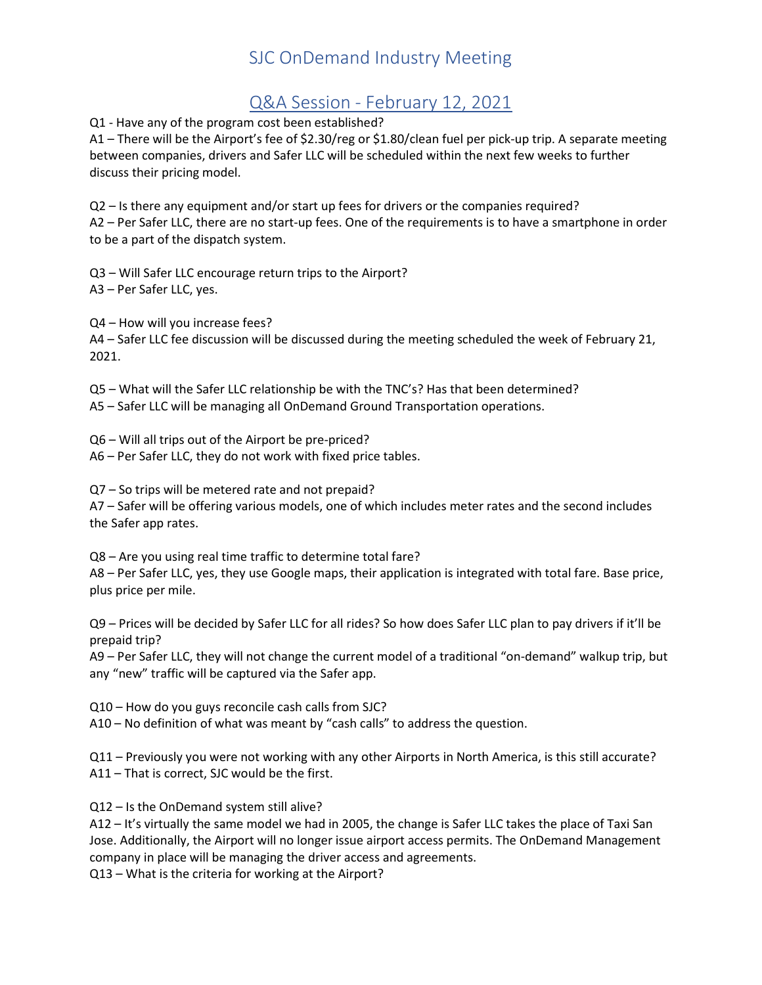# SJC OnDemand Industry Meeting

### Q&A Session - February 12, 2021

Q1 - Have any of the program cost been established?

A1 – There will be the Airport's fee of \$2.30/reg or \$1.80/clean fuel per pick-up trip. A separate meeting between companies, drivers and Safer LLC will be scheduled within the next few weeks to further discuss their pricing model.

Q2 – Is there any equipment and/or start up fees for drivers or the companies required? A2 – Per Safer LLC, there are no start-up fees. One of the requirements is to have a smartphone in order to be a part of the dispatch system.

Q3 – Will Safer LLC encourage return trips to the Airport? A3 – Per Safer LLC, yes.

Q4 – How will you increase fees? A4 – Safer LLC fee discussion will be discussed during the meeting scheduled the week of February 21, 2021.

Q5 – What will the Safer LLC relationship be with the TNC's? Has that been determined? A5 – Safer LLC will be managing all OnDemand Ground Transportation operations.

Q6 – Will all trips out of the Airport be pre-priced? A6 – Per Safer LLC, they do not work with fixed price tables.

Q7 – So trips will be metered rate and not prepaid?

A7 – Safer will be offering various models, one of which includes meter rates and the second includes the Safer app rates.

Q8 – Are you using real time traffic to determine total fare?

A8 – Per Safer LLC, yes, they use Google maps, their application is integrated with total fare. Base price, plus price per mile.

Q9 – Prices will be decided by Safer LLC for all rides? So how does Safer LLC plan to pay drivers if it'll be prepaid trip?

A9 – Per Safer LLC, they will not change the current model of a traditional "on-demand" walkup trip, but any "new" traffic will be captured via the Safer app.

Q10 – How do you guys reconcile cash calls from SJC?

A10 – No definition of what was meant by "cash calls" to address the question.

Q11 – Previously you were not working with any other Airports in North America, is this still accurate? A11 – That is correct, SJC would be the first.

Q12 – Is the OnDemand system still alive?

A12 – It's virtually the same model we had in 2005, the change is Safer LLC takes the place of Taxi San Jose. Additionally, the Airport will no longer issue airport access permits. The OnDemand Management company in place will be managing the driver access and agreements.

Q13 – What is the criteria for working at the Airport?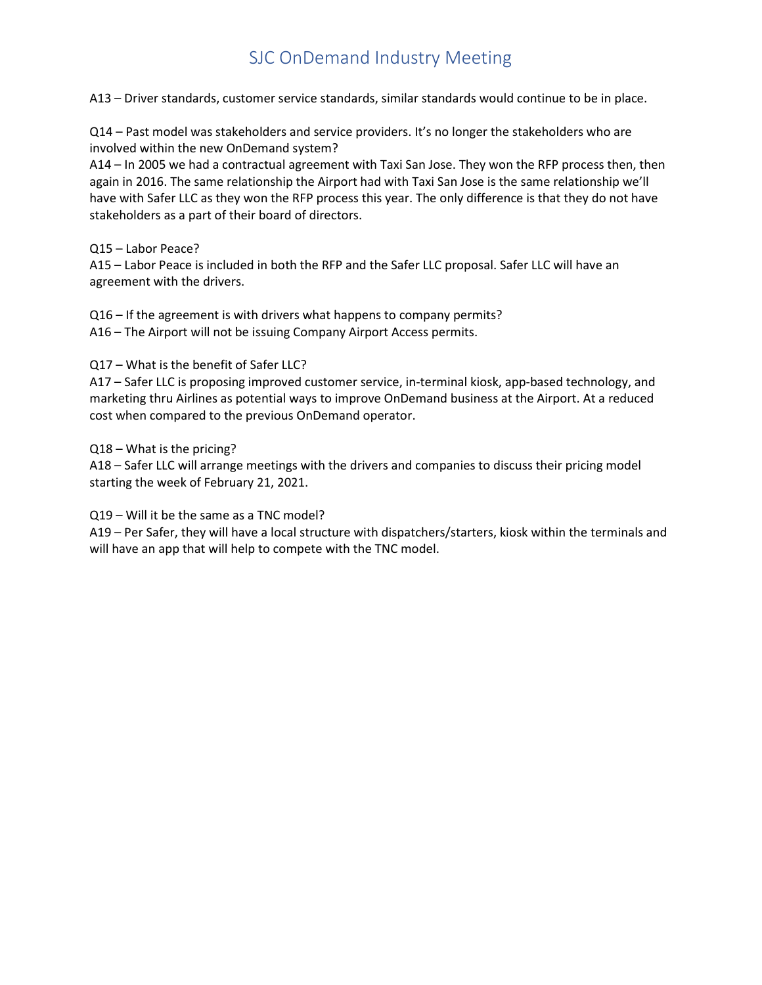# SJC OnDemand Industry Meeting

A13 – Driver standards, customer service standards, similar standards would continue to be in place.

Q14 – Past model was stakeholders and service providers. It's no longer the stakeholders who are involved within the new OnDemand system?

A14 – In 2005 we had a contractual agreement with Taxi San Jose. They won the RFP process then, then again in 2016. The same relationship the Airport had with Taxi San Jose is the same relationship we'll have with Safer LLC as they won the RFP process this year. The only difference is that they do not have stakeholders as a part of their board of directors.

Q15 – Labor Peace?

A15 – Labor Peace is included in both the RFP and the Safer LLC proposal. Safer LLC will have an agreement with the drivers.

Q16 – If the agreement is with drivers what happens to company permits? A16 – The Airport will not be issuing Company Airport Access permits.

#### Q17 – What is the benefit of Safer LLC?

A17 – Safer LLC is proposing improved customer service, in-terminal kiosk, app-based technology, and marketing thru Airlines as potential ways to improve OnDemand business at the Airport. At a reduced cost when compared to the previous OnDemand operator.

Q18 – What is the pricing?

A18 – Safer LLC will arrange meetings with the drivers and companies to discuss their pricing model starting the week of February 21, 2021.

Q19 – Will it be the same as a TNC model?

A19 – Per Safer, they will have a local structure with dispatchers/starters, kiosk within the terminals and will have an app that will help to compete with the TNC model.